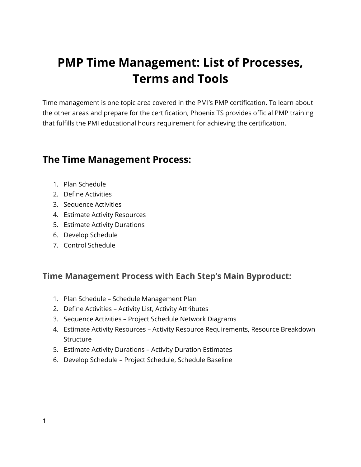# **PMP Time Management: List of Processes, Terms and Tools**

Time management is one topic area covered in the PMI's PMP certification. To learn about the other areas and prepare for the certification, Phoenix TS provides official PMP training that fulfills the PMI educational hours requirement for achieving the certification.

### **The Time Management Process:**

- 1. Plan Schedule
- 2. Define Activities
- 3. Sequence Activities
- 4. Estimate Activity Resources
- 5. Estimate Activity Durations
- 6. Develop Schedule
- 7. Control Schedule

### **Time Management Process with Each Step's Main Byproduct:**

- 1. Plan Schedule Schedule Management Plan
- 2. Define Activities Activity List, Activity Attributes
- 3. Sequence Activities Project Schedule Network Diagrams
- 4. Estimate Activity Resources Activity Resource Requirements, Resource Breakdown **Structure**
- 5. Estimate Activity Durations Activity Duration Estimates
- 6. Develop Schedule Project Schedule, Schedule Baseline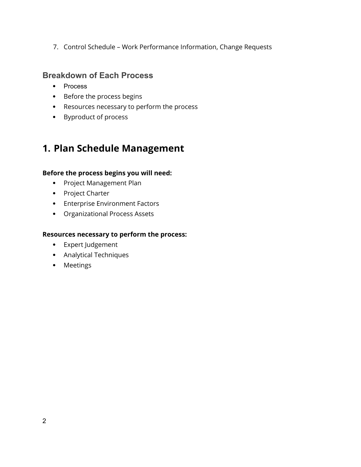7. Control Schedule – Work Performance Information, Change Requests

### **Breakdown of Each Process**

- Process
- Before the process begins
- Resources necessary to perform the process
- Byproduct of process

# **1. Plan Schedule Management**

#### **Before the process begins you will need:**

- Project Management Plan
- Project Charter
- Enterprise Environment Factors
- Organizational Process Assets

#### **Resources necessary to perform the process:**

- Expert Judgement
- Analytical Techniques
- Meetings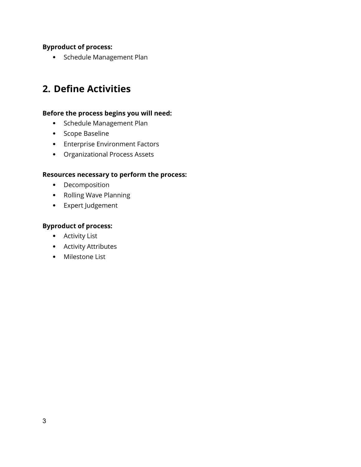#### **Byproduct of process:**

• Schedule Management Plan

### **2. Define Activities**

#### **Before the process begins you will need:**

- Schedule Management Plan
- Scope Baseline
- Enterprise Environment Factors
- Organizational Process Assets

#### **Resources necessary to perform the process:**

- Decomposition
- Rolling Wave Planning
- Expert Judgement

#### **Byproduct of process:**

- Activity List
- Activity Attributes
- Milestone List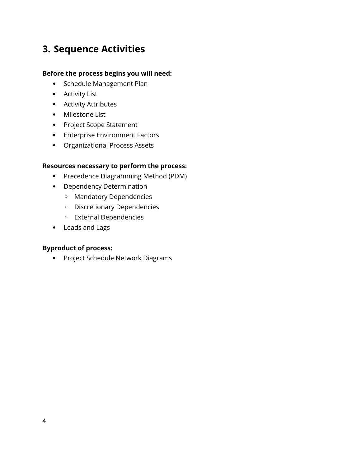# **3. Sequence Activities**

#### **Before the process begins you will need:**

- Schedule Management Plan
- Activity List
- Activity Attributes
- Milestone List
- Project Scope Statement
- Enterprise Environment Factors
- Organizational Process Assets

#### **Resources necessary to perform the process:**

- Precedence Diagramming Method (PDM)
- Dependency Determination
	- Mandatory Dependencies
	- Discretionary Dependencies
	- External Dependencies
- Leads and Lags

#### **Byproduct of process:**

• Project Schedule Network Diagrams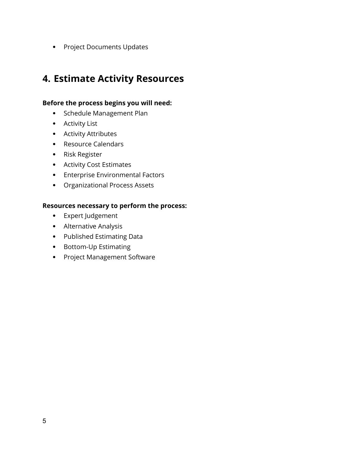• Project Documents Updates

### **4. Estimate Activity Resources**

#### **Before the process begins you will need:**

- Schedule Management Plan
- Activity List
- Activity Attributes
- Resource Calendars
- Risk Register
- Activity Cost Estimates
- Enterprise Environmental Factors
- Organizational Process Assets

#### **Resources necessary to perform the process:**

- Expert Judgement
- Alternative Analysis
- Published Estimating Data
- Bottom-Up Estimating
- Project Management Software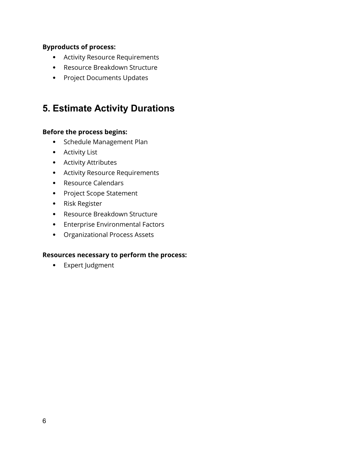#### **Byproducts of process:**

- Activity Resource Requirements
- Resource Breakdown Structure
- Project Documents Updates

### **5. Estimate Activity Durations**

#### **Before the process begins:**

- Schedule Management Plan
- Activity List
- Activity Attributes
- Activity Resource Requirements
- Resource Calendars
- Project Scope Statement
- Risk Register
- Resource Breakdown Structure
- Enterprise Environmental Factors
- Organizational Process Assets

#### **Resources necessary to perform the process:**

Expert Judgment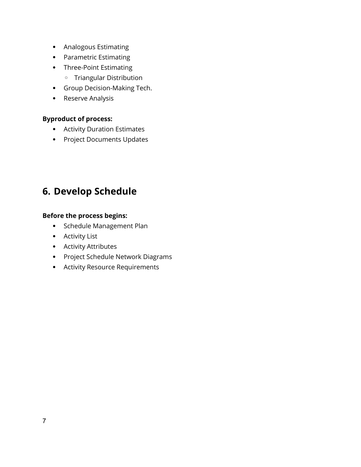- Analogous Estimating
- Parametric Estimating
- Three-Point Estimating
	- Triangular Distribution
- Group Decision-Making Tech.
- Reserve Analysis

#### **Byproduct of process:**

- Activity Duration Estimates
- Project Documents Updates

# **6. Develop Schedule**

#### **Before the process begins:**

- Schedule Management Plan
- Activity List
- Activity Attributes
- Project Schedule Network Diagrams
- Activity Resource Requirements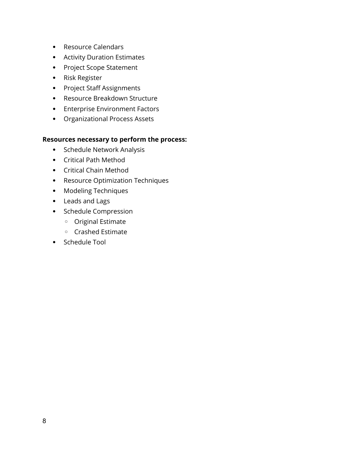- Resource Calendars
- Activity Duration Estimates
- Project Scope Statement
- Risk Register
- Project Staff Assignments
- Resource Breakdown Structure
- Enterprise Environment Factors
- Organizational Process Assets

#### **Resources necessary to perform the process:**

- Schedule Network Analysis
- Critical Path Method
- Critical Chain Method
- Resource Optimization Techniques
- Modeling Techniques
- Leads and Lags
- Schedule Compression
	- Original Estimate
	- Crashed Estimate
- Schedule Tool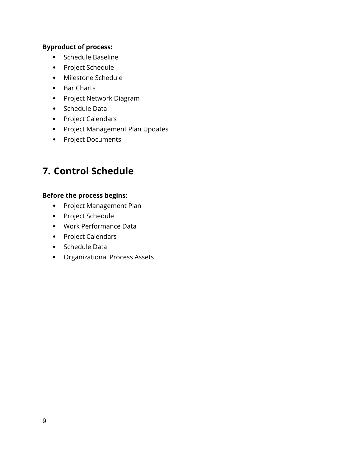#### **Byproduct of process:**

- Schedule Baseline
- Project Schedule
- Milestone Schedule
- Bar Charts
- Project Network Diagram
- Schedule Data
- Project Calendars
- Project Management Plan Updates
- Project Documents

### **7. Control Schedule**

#### **Before the process begins:**

- Project Management Plan
- Project Schedule
- Work Performance Data
- Project Calendars
- Schedule Data
- Organizational Process Assets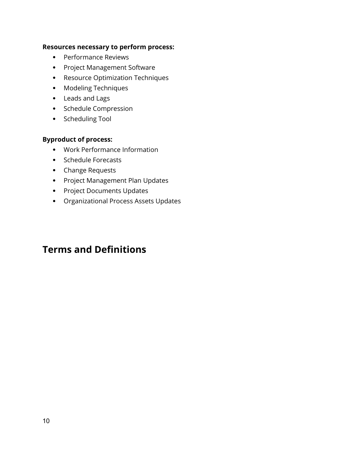#### **Resources necessary to perform process:**

- Performance Reviews
- Project Management Software
- Resource Optimization Techniques
- Modeling Techniques
- Leads and Lags
- Schedule Compression
- Scheduling Tool

#### **Byproduct of process:**

- Work Performance Information
- Schedule Forecasts
- Change Requests
- Project Management Plan Updates
- Project Documents Updates
- Organizational Process Assets Updates

### **Terms and Definitions**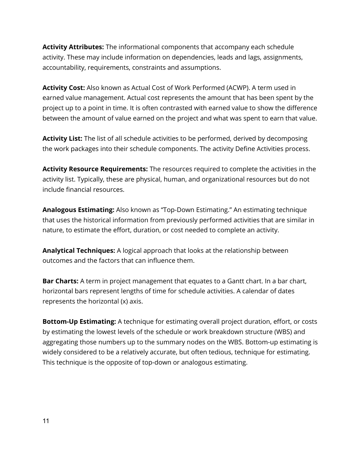**Activity Attributes:** The informational components that accompany each schedule activity. These may include information on dependencies, leads and lags, assignments, accountability, requirements, constraints and assumptions.

**Activity Cost:** Also known as Actual Cost of Work Performed (ACWP). A term used in earned value management. Actual cost represents the amount that has been spent by the project up to a point in time. It is often contrasted with earned value to show the difference between the amount of value earned on the project and what was spent to earn that value.

**Activity List:** The list of all schedule activities to be performed, derived by decomposing the work packages into their schedule components. The activity Define Activities process.

**Activity Resource Requirements:** The resources required to complete the activities in the activity list. Typically, these are physical, human, and organizational resources but do not include financial resources.

**Analogous Estimating:** Also known as "Top-Down Estimating." An estimating technique that uses the historical information from previously performed activities that are similar in nature, to estimate the effort, duration, or cost needed to complete an activity.

**Analytical Techniques:** A logical approach that looks at the relationship between outcomes and the factors that can influence them.

**Bar Charts:** A term in project management that equates to a Gantt chart. In a bar chart, horizontal bars represent lengths of time for schedule activities. A calendar of dates represents the horizontal (x) axis.

**Bottom-Up Estimating:** A technique for estimating overall project duration, effort, or costs by estimating the lowest levels of the schedule or work breakdown structure (WBS) and aggregating those numbers up to the summary nodes on the WBS. Bottom-up estimating is widely considered to be a relatively accurate, but often tedious, technique for estimating. This technique is the opposite of top-down or analogous estimating.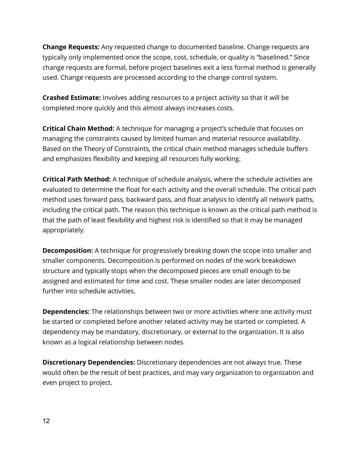**Change Requests:** Any requested change to documented baseline. Change requests are typically only implemented once the scope, cost, schedule, or quality is "baselined." Since change requests are formal, before project baselines exit a less formal method is generally used. Change requests are processed according to the change control system.

**Crashed Estimate:** Involves adding resources to a project activity so that it will be completed more quickly and this almost always increases costs.

**Critical Chain Method:** A technique for managing a project's schedule that focuses on managing the constraints caused by limited human and material resource availability. Based on the Theory of Constraints, the critical chain method manages schedule buffers and emphasizes flexibility and keeping all resources fully working.

**Critical Path Method:** A technique of schedule analysis, where the schedule activities are evaluated to determine the float for each activity and the overall schedule. The critical path method uses forward pass, backward pass, and float analysis to identify all network paths, including the critical path. The reason this technique is known as the critical path method is that the path of least flexibility and highest risk is identified so that it may be managed appropriately.

**Decomposition:** A technique for progressively breaking down the scope into smaller and smaller components. Decomposition is performed on nodes of the work breakdown structure and typically stops when the decomposed pieces are small enough to be assigned and estimated for time and cost. These smaller nodes are later decomposed further into schedule activities.

**Dependencies:** The relationships between two or more activities where one activity must be started or completed before another related activity may be started or completed. A dependency may be mandatory, discretionary, or external to the organization. It is also known as a logical relationship between nodes.

**Discretionary Dependencies:** Discretionary dependencies are not always true. These would often be the result of best practices, and may vary organization to organization and even project to project.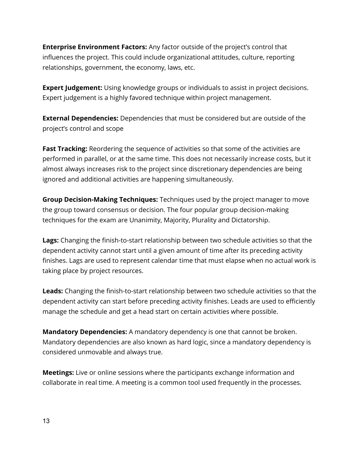**Enterprise Environment Factors:** Any factor outside of the project's control that influences the project. This could include organizational attitudes, culture, reporting relationships, government, the economy, laws, etc.

**Expert Judgement:** Using knowledge groups or individuals to assist in project decisions. Expert judgement is a highly favored technique within project management.

**External Dependencies:** Dependencies that must be considered but are outside of the project's control and scope

**Fast Tracking:** Reordering the sequence of activities so that some of the activities are performed in parallel, or at the same time. This does not necessarily increase costs, but it almost always increases risk to the project since discretionary dependencies are being ignored and additional activities are happening simultaneously.

**Group Decision-Making Techniques:** Techniques used by the project manager to move the group toward consensus or decision. The four popular group decision-making techniques for the exam are Unanimity, Majority, Plurality and Dictatorship.

**Lags:** Changing the finish-to-start relationship between two schedule activities so that the dependent activity cannot start until a given amount of time after its preceding activity finishes. Lags are used to represent calendar time that must elapse when no actual work is taking place by project resources.

**Leads:** Changing the finish-to-start relationship between two schedule activities so that the dependent activity can start before preceding activity finishes. Leads are used to efficiently manage the schedule and get a head start on certain activities where possible.

**Mandatory Dependencies:** A mandatory dependency is one that cannot be broken. Mandatory dependencies are also known as hard logic, since a mandatory dependency is considered unmovable and always true.

**Meetings:** Live or online sessions where the participants exchange information and collaborate in real time. A meeting is a common tool used frequently in the processes.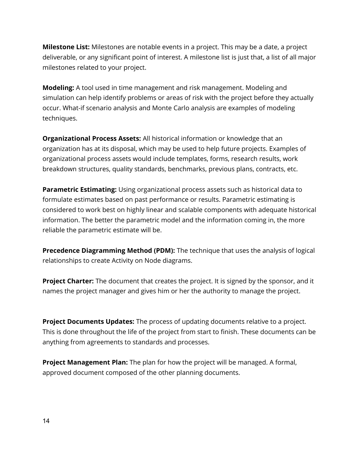**Milestone List:** Milestones are notable events in a project. This may be a date, a project deliverable, or any significant point of interest. A milestone list is just that, a list of all major milestones related to your project.

**Modeling:** A tool used in time management and risk management. Modeling and simulation can help identify problems or areas of risk with the project before they actually occur. What-if scenario analysis and Monte Carlo analysis are examples of modeling techniques.

**Organizational Process Assets:** All historical information or knowledge that an organization has at its disposal, which may be used to help future projects. Examples of organizational process assets would include templates, forms, research results, work breakdown structures, quality standards, benchmarks, previous plans, contracts, etc.

**Parametric Estimating:** Using organizational process assets such as historical data to formulate estimates based on past performance or results. Parametric estimating is considered to work best on highly linear and scalable components with adequate historical information. The better the parametric model and the information coming in, the more reliable the parametric estimate will be.

**Precedence Diagramming Method (PDM):** The technique that uses the analysis of logical relationships to create Activity on Node diagrams.

**Project Charter:** The document that creates the project. It is signed by the sponsor, and it names the project manager and gives him or her the authority to manage the project.

**Project Documents Updates:** The process of updating documents relative to a project. This is done throughout the life of the project from start to finish. These documents can be anything from agreements to standards and processes.

**Project Management Plan:** The plan for how the project will be managed. A formal, approved document composed of the other planning documents.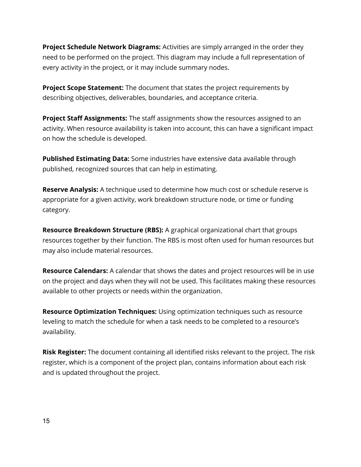**Project Schedule Network Diagrams:** Activities are simply arranged in the order they need to be performed on the project. This diagram may include a full representation of every activity in the project, or it may include summary nodes.

**Project Scope Statement:** The document that states the project requirements by describing objectives, deliverables, boundaries, and acceptance criteria.

**Project Staff Assignments:** The staff assignments show the resources assigned to an activity. When resource availability is taken into account, this can have a significant impact on how the schedule is developed.

**Published Estimating Data:** Some industries have extensive data available through published, recognized sources that can help in estimating.

**Reserve Analysis:** A technique used to determine how much cost or schedule reserve is appropriate for a given activity, work breakdown structure node, or time or funding category.

**Resource Breakdown Structure (RBS):** A graphical organizational chart that groups resources together by their function. The RBS is most often used for human resources but may also include material resources.

**Resource Calendars:** A calendar that shows the dates and project resources will be in use on the project and days when they will not be used. This facilitates making these resources available to other projects or needs within the organization.

**Resource Optimization Techniques:** Using optimization techniques such as resource leveling to match the schedule for when a task needs to be completed to a resource's availability.

**Risk Register:** The document containing all identified risks relevant to the project. The risk register, which is a component of the project plan, contains information about each risk and is updated throughout the project.